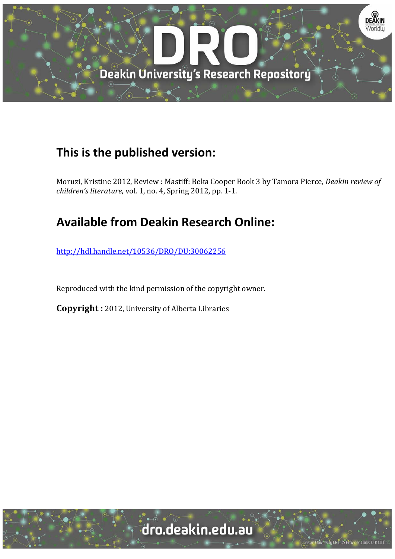

## **This is the published version:**

Moruzi, Kristine 2012, Review : Mastiff: Beka Cooper Book 3 by Tamora Pierce*, Deakin review of children's literature, vol.* 1, no. 4, Spring 2012, pp. 1-1.

## **Available from Deakin Research Online:**

http://hdl.handle.net/10536/DRO/DU:30062256

Reproduced with the kind permission of the copyright owner.

**Copyright** : 2012, University of Alberta Libraries